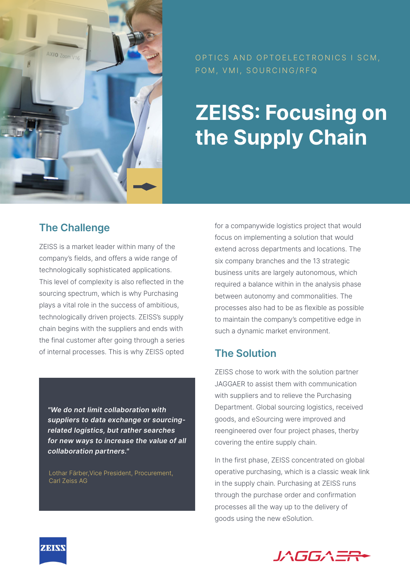

OPTICS AND OPTOELECTRONICS I SCM, POM, VMI, SOURCING/RFQ

# **ZEISS: Focusing on the Supply Chain**

## **The Challenge**

ZEISS is a market leader within many of the company's fields, and offers a wide range of technologically sophisticated applications. This level of complexity is also reflected in the sourcing spectrum, which is why Purchasing plays a vital role in the success of ambitious, technologically driven projects. ZEISS's supply chain begins with the suppliers and ends with the final customer after going through a series of internal processes. This is why ZEISS opted

*"We do not limit collaboration with suppliers to data exchange or sourcingrelated logistics, but rather searches for new ways to increase the value of all collaboration partners."*

Lothar Färber,Vice President, Procurement, Carl Zeiss AG

for a companywide logistics project that would focus on implementing a solution that would extend across departments and locations. The six company branches and the 13 strategic business units are largely autonomous, which required a balance within in the analysis phase between autonomy and commonalities. The processes also had to be as flexible as possible to maintain the company's competitive edge in such a dynamic market environment.

# **The Solution**

ZEISS chose to work with the solution partner JAGGAER to assist them with communication with suppliers and to relieve the Purchasing Department. Global sourcing logistics, received goods, and eSourcing were improved and reengineered over four project phases, therby covering the entire supply chain.

In the first phase, ZEISS concentrated on global operative purchasing, which is a classic weak link in the supply chain. Purchasing at ZEISS runs through the purchase order and confirmation processes all the way up to the delivery of goods using the new eSolution.



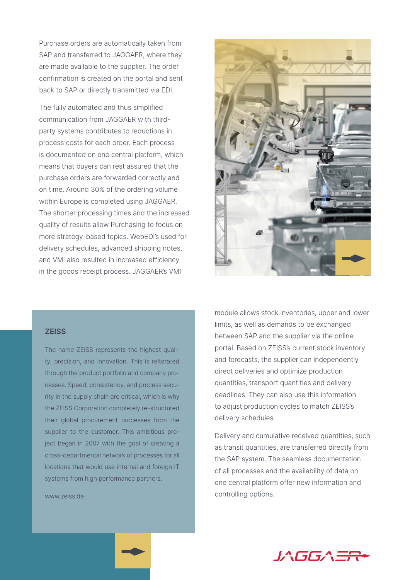Purchase orders are automatically taken from SAP and transferred to JAGGAER, where they are made available to the supplier. The order confirmation is created on the portal and sent back to SAP or directly transmitted via EDI.

The fully automated and thus simplified communication from JAGGAER with thirdparty systems contributes to reductions in process costs for each order. Each process is documented on one central platform, which means that buyers can rest assured that the purchase orders are forwarded correctly and on time. Around 30% of the ordering volume within Europe is completed using JAGGAER. The shorter processing times and the increased quality of results allow Purchasing to focus on more strategy-based topics. WebEDI's used for delivery schedules, advanced shipping notes, and VMI also resulted in increased efficiency in the goods receipt process. JAGGAER's VMI



#### **ZEISS**

The name ZEISS represents the highest quality, precision, and innovation. This is reiterated through the product portfolio and company processes. Speed, consistency, and process security in the supply chain are critical, which is why the ZEISS Corporation completely re-structured their global procurement processes from the supplier to the customer. This ambitious project began in 2007 with the goal of creating a cross-departmental network of processes for all locations that would use internal and foreign IT systems from high performance partners.

www.zeiss.de

module allows stock inventories, upper and lower limits, as well as demands to be exchanged between SAP and the supplier via the online portal. Based on ZEISS's current stock inventory and forecasts, the supplier can independently direct deliveries and optimize production quantities, transport quantities and delivery deadlines. They can also use this information to adjust production cycles to match ZEISS's delivery schedules.

Delivery and cumulative received quantities, such as transit quantities, are transferred directly from the SAP system. The seamless documentation of all processes and the availability of data on one central platform offer new information and controlling options.